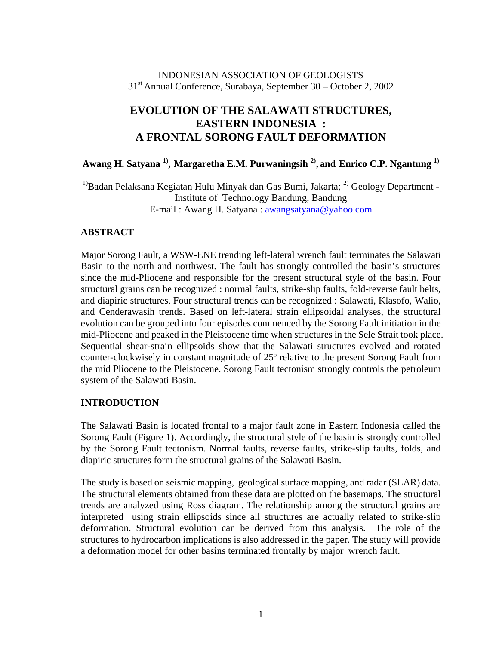## INDONESIAN ASSOCIATION OF GEOLOGISTS 31st Annual Conference, Surabaya, September 30 – October 2, 2002

## **EVOLUTION OF THE SALAWATI STRUCTURES, EASTERN INDONESIA : A FRONTAL SORONG FAULT DEFORMATION**

Awang H. Satyana <sup>1)</sup>, Margaretha E.M. Purwaningsih <sup>2)</sup>, and Enrico C.P. Ngantung <sup>1)</sup>

 $1)$ Badan Pelaksana Kegiatan Hulu Minyak dan Gas Bumi, Jakarta; <sup>2)</sup> Geology Department -Institute of Technology Bandung, Bandung E-mail : Awang H. Satyana : awangsatyana@yahoo.com

## **ABSTRACT**

Major Sorong Fault, a WSW-ENE trending left-lateral wrench fault terminates the Salawati Basin to the north and northwest. The fault has strongly controlled the basin's structures since the mid-Pliocene and responsible for the present structural style of the basin. Four structural grains can be recognized : normal faults, strike-slip faults, fold-reverse fault belts, and diapiric structures. Four structural trends can be recognized : Salawati, Klasofo, Walio, and Cenderawasih trends. Based on left-lateral strain ellipsoidal analyses, the structural evolution can be grouped into four episodes commenced by the Sorong Fault initiation in the mid-Pliocene and peaked in the Pleistocene time when structures in the Sele Strait took place. Sequential shear-strain ellipsoids show that the Salawati structures evolved and rotated counter-clockwisely in constant magnitude of 25º relative to the present Sorong Fault from the mid Pliocene to the Pleistocene. Sorong Fault tectonism strongly controls the petroleum system of the Salawati Basin.

## **INTRODUCTION**

The Salawati Basin is located frontal to a major fault zone in Eastern Indonesia called the Sorong Fault (Figure 1). Accordingly, the structural style of the basin is strongly controlled by the Sorong Fault tectonism. Normal faults, reverse faults, strike-slip faults, folds, and diapiric structures form the structural grains of the Salawati Basin.

The study is based on seismic mapping, geological surface mapping, and radar (SLAR) data. The structural elements obtained from these data are plotted on the basemaps. The structural trends are analyzed using Ross diagram. The relationship among the structural grains are interpreted using strain ellipsoids since all structures are actually related to strike-slip deformation. Structural evolution can be derived from this analysis. The role of the structures to hydrocarbon implications is also addressed in the paper. The study will provide a deformation model for other basins terminated frontally by major wrench fault.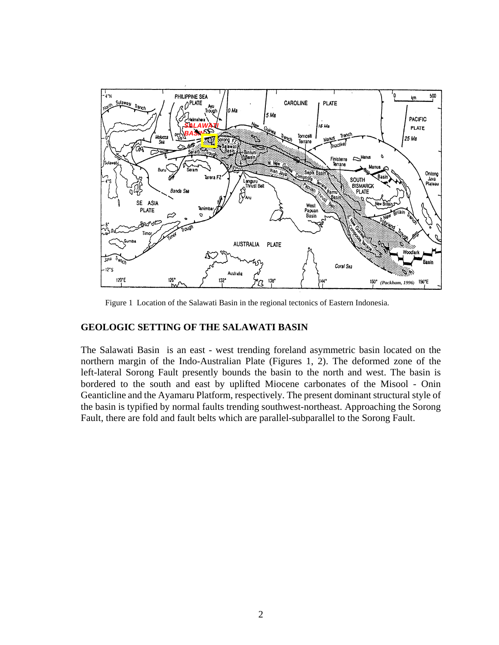

Figure 1 Location of the Salawati Basin in the regional tectonics of Eastern Indonesia.

#### **GEOLOGIC SETTING OF THE SALAWATI BASIN**

The Salawati Basin is an east - west trending foreland asymmetric basin located on the northern margin of the Indo-Australian Plate (Figures 1, 2). The deformed zone of the left-lateral Sorong Fault presently bounds the basin to the north and west. The basin is bordered to the south and east by uplifted Miocene carbonates of the Misool - Onin Geanticline and the Ayamaru Platform, respectively. The present dominant structural style of the basin is typified by normal faults trending southwest-northeast. Approaching the Sorong Fault, there are fold and fault belts which are parallel-subparallel to the Sorong Fault.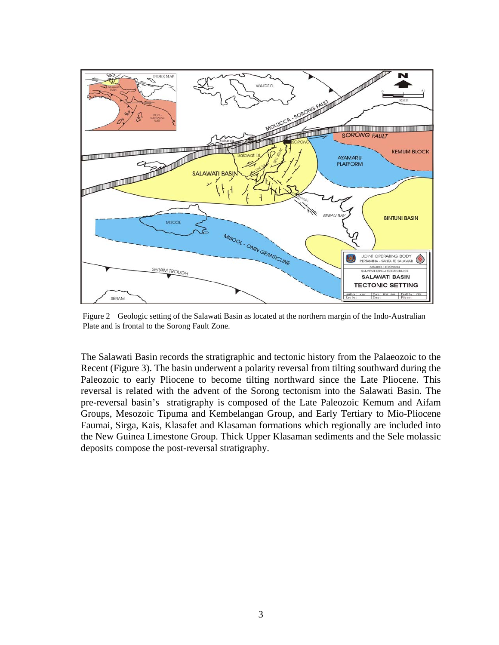

Figure 2 Geologic setting of the Salawati Basin as located at the northern margin of the Indo-Australian Plate and is frontal to the Sorong Fault Zone.

The Salawati Basin records the stratigraphic and tectonic history from the Palaeozoic to the Recent (Figure 3). The basin underwent a polarity reversal from tilting southward during the Paleozoic to early Pliocene to become tilting northward since the Late Pliocene. This reversal is related with the advent of the Sorong tectonism into the Salawati Basin. The pre-reversal basin's stratigraphy is composed of the Late Paleozoic Kemum and Aifam Groups, Mesozoic Tipuma and Kembelangan Group, and Early Tertiary to Mio-Pliocene Faumai, Sirga, Kais, Klasafet and Klasaman formations which regionally are included into the New Guinea Limestone Group. Thick Upper Klasaman sediments and the Sele molassic deposits compose the post-reversal stratigraphy.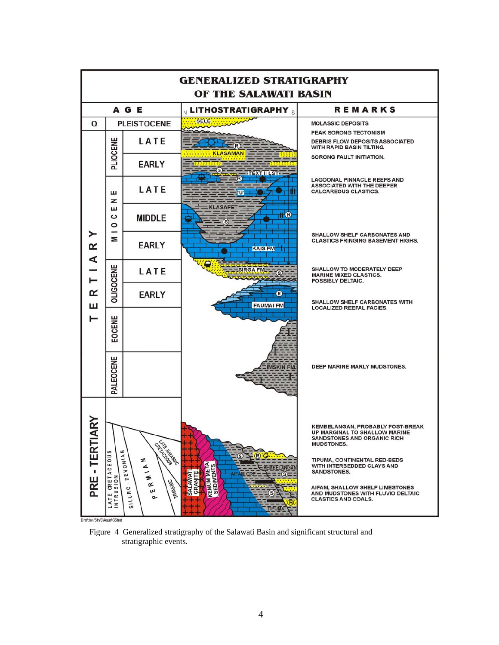

aft by /StrVD\Agus\GStra

Figure 4 Generalized stratigraphy of the Salawati Basin and significant structural and stratigraphic events.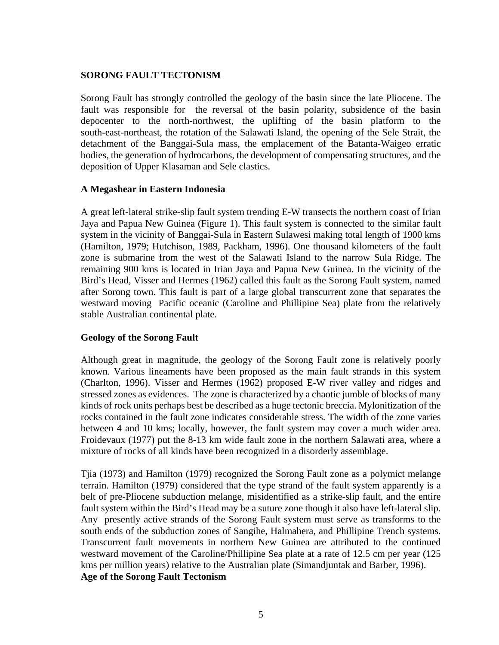## **SORONG FAULT TECTONISM**

Sorong Fault has strongly controlled the geology of the basin since the late Pliocene. The fault was responsible for the reversal of the basin polarity, subsidence of the basin depocenter to the north-northwest, the uplifting of the basin platform to the south-east-northeast, the rotation of the Salawati Island, the opening of the Sele Strait, the detachment of the Banggai-Sula mass, the emplacement of the Batanta-Waigeo erratic bodies, the generation of hydrocarbons, the development of compensating structures, and the deposition of Upper Klasaman and Sele clastics.

#### **A Megashear in Eastern Indonesia**

A great left-lateral strike-slip fault system trending E-W transects the northern coast of Irian Jaya and Papua New Guinea (Figure 1). This fault system is connected to the similar fault system in the vicinity of Banggai-Sula in Eastern Sulawesi making total length of 1900 kms (Hamilton, 1979; Hutchison, 1989, Packham, 1996). One thousand kilometers of the fault zone is submarine from the west of the Salawati Island to the narrow Sula Ridge. The remaining 900 kms is located in Irian Jaya and Papua New Guinea. In the vicinity of the Bird's Head, Visser and Hermes (1962) called this fault as the Sorong Fault system, named after Sorong town. This fault is part of a large global transcurrent zone that separates the westward moving Pacific oceanic (Caroline and Phillipine Sea) plate from the relatively stable Australian continental plate.

## **Geology of the Sorong Fault**

Although great in magnitude, the geology of the Sorong Fault zone is relatively poorly known. Various lineaments have been proposed as the main fault strands in this system (Charlton, 1996). Visser and Hermes (1962) proposed E-W river valley and ridges and stressed zones as evidences. The zone is characterized by a chaotic jumble of blocks of many kinds of rock units perhaps best be described as a huge tectonic breccia. Mylonitization of the rocks contained in the fault zone indicates considerable stress. The width of the zone varies between 4 and 10 kms; locally, however, the fault system may cover a much wider area. Froidevaux (1977) put the 8-13 km wide fault zone in the northern Salawati area, where a mixture of rocks of all kinds have been recognized in a disorderly assemblage.

Tjia (1973) and Hamilton (1979) recognized the Sorong Fault zone as a polymict melange terrain. Hamilton (1979) considered that the type strand of the fault system apparently is a belt of pre-Pliocene subduction melange, misidentified as a strike-slip fault, and the entire fault system within the Bird's Head may be a suture zone though it also have left-lateral slip. Any presently active strands of the Sorong Fault system must serve as transforms to the south ends of the subduction zones of Sangihe, Halmahera, and Phillipine Trench systems. Transcurrent fault movements in northern New Guinea are attributed to the continued westward movement of the Caroline/Phillipine Sea plate at a rate of 12.5 cm per year (125 kms per million years) relative to the Australian plate (Simandjuntak and Barber, 1996). **Age of the Sorong Fault Tectonism**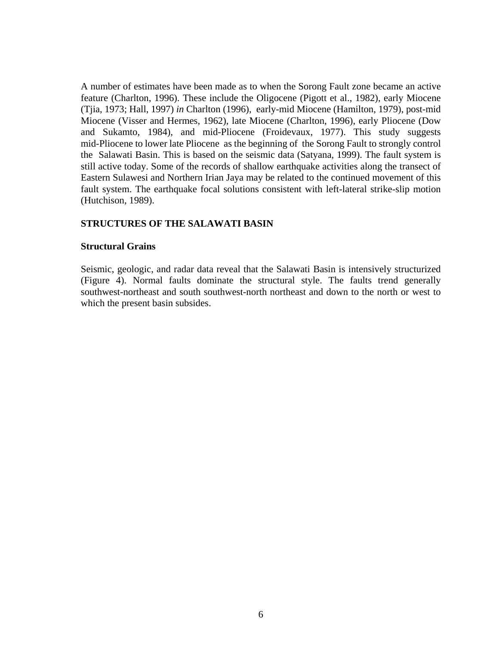A number of estimates have been made as to when the Sorong Fault zone became an active feature (Charlton, 1996). These include the Oligocene (Pigott et al., 1982), early Miocene (Tjia, 1973; Hall, 1997) *in* Charlton (1996), early-mid Miocene (Hamilton, 1979), post-mid Miocene (Visser and Hermes, 1962), late Miocene (Charlton, 1996), early Pliocene (Dow and Sukamto, 1984), and mid-Pliocene (Froidevaux, 1977). This study suggests mid-Pliocene to lower late Pliocene as the beginning of the Sorong Fault to strongly control the Salawati Basin. This is based on the seismic data (Satyana, 1999). The fault system is still active today. Some of the records of shallow earthquake activities along the transect of Eastern Sulawesi and Northern Irian Jaya may be related to the continued movement of this fault system. The earthquake focal solutions consistent with left-lateral strike-slip motion (Hutchison, 1989).

#### **STRUCTURES OF THE SALAWATI BASIN**

#### **Structural Grains**

Seismic, geologic, and radar data reveal that the Salawati Basin is intensively structurized (Figure 4). Normal faults dominate the structural style. The faults trend generally southwest-northeast and south southwest-north northeast and down to the north or west to which the present basin subsides.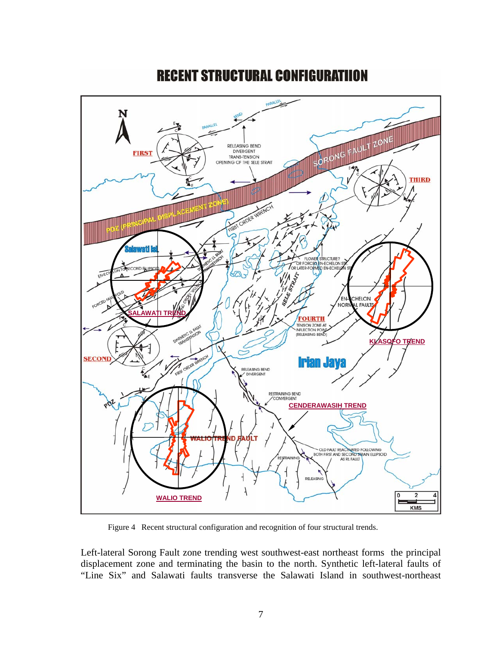

# **RECENT STRUCTURAL CONFIGURATIION**

Figure 4 Recent structural configuration and recognition of four structural trends.

Left-lateral Sorong Fault zone trending west southwest-east northeast forms the principal displacement zone and terminating the basin to the north. Synthetic left-lateral faults of "Line Six" and Salawati faults transverse the Salawati Island in southwest-northeast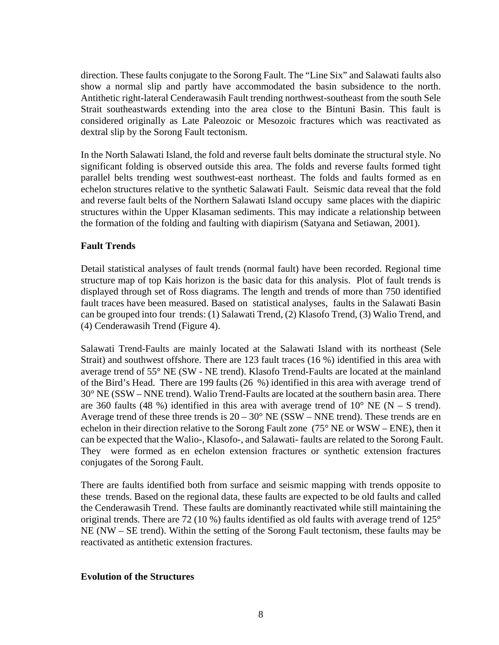direction. These faults conjugate to the Sorong Fault. The "Line Six" and Salawati faults also show a normal slip and partly have accommodated the basin subsidence to the north. Antithetic right-lateral Cenderawasih Fault trending northwest-southeast from the south Sele Strait southeastwards extending into the area close to the Bintuni Basin. This fault is considered originally as Late Paleozoic or Mesozoic fractures which was reactivated as dextral slip by the Sorong Fault tectonism.

In the North Salawati Island, the fold and reverse fault belts dominate the structural style. No significant folding is observed outside this area. The folds and reverse faults formed tight parallel belts trending west southwest-east northeast. The folds and faults formed as en echelon structures relative to the synthetic Salawati Fault. Seismic data reveal that the fold and reverse fault belts of the Northern Salawati Island occupy same places with the diapiric structures within the Upper Klasaman sediments. This may indicate a relationship between the formation of the folding and faulting with diapirism (Satyana and Setiawan, 2001).

## **Fault Trends**

Detail statistical analyses of fault trends (normal fault) have been recorded. Regional time structure map of top Kais horizon is the basic data for this analysis. Plot of fault trends is displayed through set of Ross diagrams. The length and trends of more than 750 identified fault traces have been measured. Based on statistical analyses, faults in the Salawati Basin can be grouped into four trends: (1) Salawati Trend, (2) Klasofo Trend, (3) Walio Trend, and (4) Cenderawasih Trend (Figure 4).

Salawati Trend-Faults are mainly located at the Salawati Island with its northeast (Sele Strait) and southwest offshore. There are 123 fault traces (16 %) identified in this area with average trend of 55° NE (SW - NE trend). Klasofo Trend-Faults are located at the mainland of the Bird's Head. There are 199 faults (26 %) identified in this area with average trend of 30° NE (SSW – NNE trend). Walio Trend-Faults are located at the southern basin area. There are 360 faults (48 %) identified in this area with average trend of  $10^{\circ}$  NE (N – S trend). Average trend of these three trends is  $20 - 30^{\circ}$  NE (SSW – NNE trend). These trends are en echelon in their direction relative to the Sorong Fault zone (75° NE or WSW – ENE), then it can be expected that the Walio-, Klasofo-, and Salawati- faults are related to the Sorong Fault. They were formed as en echelon extension fractures or synthetic extension fractures conjugates of the Sorong Fault.

There are faults identified both from surface and seismic mapping with trends opposite to these trends. Based on the regional data, these faults are expected to be old faults and called the Cenderawasih Trend. These faults are dominantly reactivated while still maintaining the original trends. There are 72 (10 %) faults identified as old faults with average trend of 125° NE (NW – SE trend). Within the setting of the Sorong Fault tectonism, these faults may be reactivated as antithetic extension fractures.

#### **Evolution of the Structures**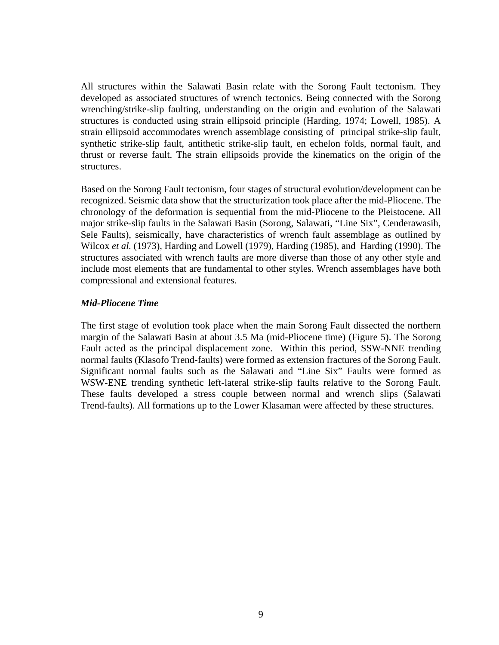All structures within the Salawati Basin relate with the Sorong Fault tectonism. They developed as associated structures of wrench tectonics. Being connected with the Sorong wrenching/strike-slip faulting, understanding on the origin and evolution of the Salawati structures is conducted using strain ellipsoid principle (Harding, 1974; Lowell, 1985). A strain ellipsoid accommodates wrench assemblage consisting of principal strike-slip fault, synthetic strike-slip fault, antithetic strike-slip fault, en echelon folds, normal fault, and thrust or reverse fault. The strain ellipsoids provide the kinematics on the origin of the structures.

Based on the Sorong Fault tectonism, four stages of structural evolution/development can be recognized. Seismic data show that the structurization took place after the mid-Pliocene. The chronology of the deformation is sequential from the mid-Pliocene to the Pleistocene. All major strike-slip faults in the Salawati Basin (Sorong, Salawati, "Line Six", Cenderawasih, Sele Faults), seismically, have characteristics of wrench fault assemblage as outlined by Wilcox *et al.* (1973), Harding and Lowell (1979), Harding (1985), and Harding (1990). The structures associated with wrench faults are more diverse than those of any other style and include most elements that are fundamental to other styles. Wrench assemblages have both compressional and extensional features.

#### *Mid-Pliocene Time*

The first stage of evolution took place when the main Sorong Fault dissected the northern margin of the Salawati Basin at about 3.5 Ma (mid-Pliocene time) (Figure 5). The Sorong Fault acted as the principal displacement zone. Within this period, SSW-NNE trending normal faults (Klasofo Trend-faults) were formed as extension fractures of the Sorong Fault. Significant normal faults such as the Salawati and "Line Six" Faults were formed as WSW-ENE trending synthetic left-lateral strike-slip faults relative to the Sorong Fault. These faults developed a stress couple between normal and wrench slips (Salawati Trend-faults). All formations up to the Lower Klasaman were affected by these structures.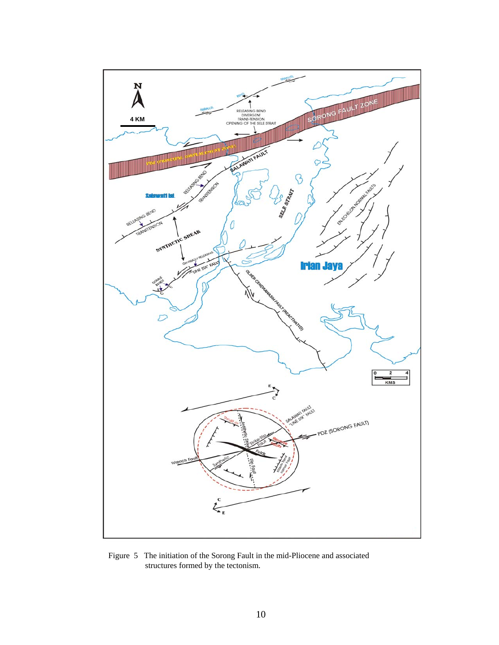

Figure 5 The initiation of the Sorong Fault in the mid-Pliocene and associated structures formed by the tectonism.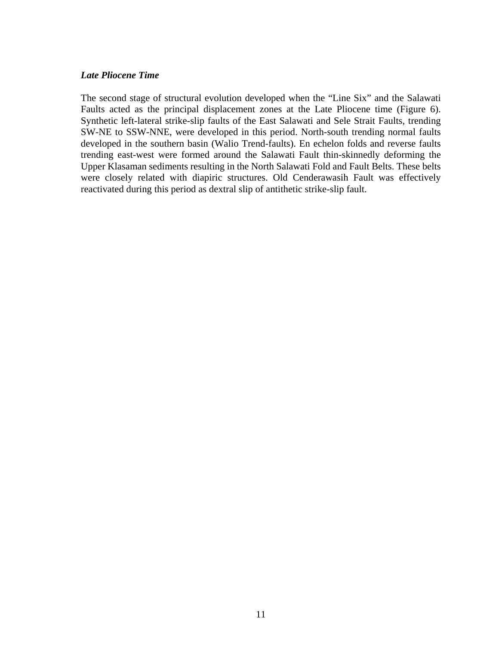#### *Late Pliocene Time*

The second stage of structural evolution developed when the "Line Six" and the Salawati Faults acted as the principal displacement zones at the Late Pliocene time (Figure 6). Synthetic left-lateral strike-slip faults of the East Salawati and Sele Strait Faults, trending SW-NE to SSW-NNE, were developed in this period. North-south trending normal faults developed in the southern basin (Walio Trend-faults). En echelon folds and reverse faults trending east-west were formed around the Salawati Fault thin-skinnedly deforming the Upper Klasaman sediments resulting in the North Salawati Fold and Fault Belts. These belts were closely related with diapiric structures. Old Cenderawasih Fault was effectively reactivated during this period as dextral slip of antithetic strike-slip fault.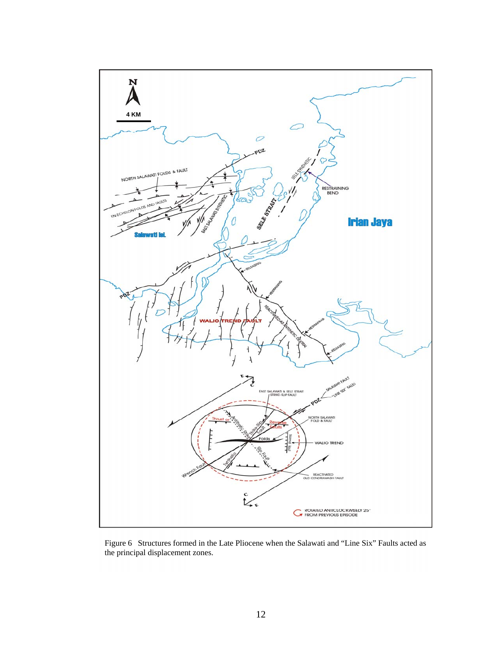

Figure 6 Structures formed in the Late Pliocene when the Salawati and "Line Six" Faults acted as the principal displacement zones.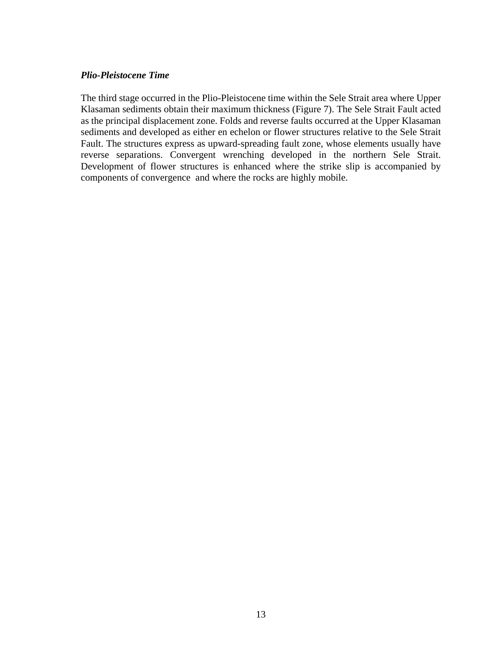#### *Plio-Pleistocene Time*

The third stage occurred in the Plio-Pleistocene time within the Sele Strait area where Upper Klasaman sediments obtain their maximum thickness (Figure 7). The Sele Strait Fault acted as the principal displacement zone. Folds and reverse faults occurred at the Upper Klasaman sediments and developed as either en echelon or flower structures relative to the Sele Strait Fault. The structures express as upward-spreading fault zone, whose elements usually have reverse separations. Convergent wrenching developed in the northern Sele Strait. Development of flower structures is enhanced where the strike slip is accompanied by components of convergence and where the rocks are highly mobile.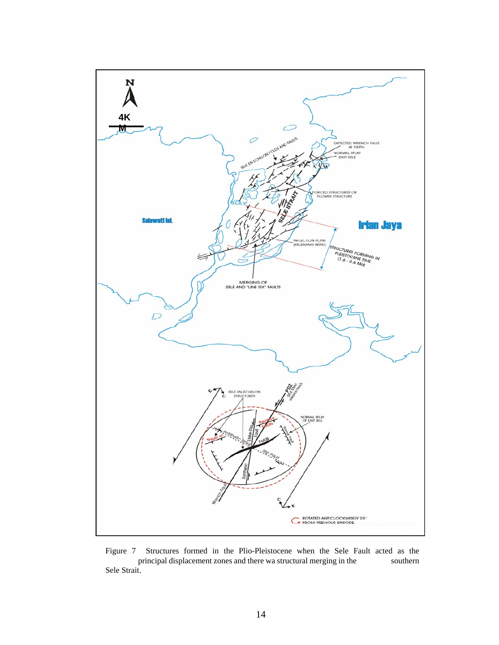

Figure 7 Structures formed in the Plio-Pleistocene when the Sele Fault acted as the principal displacement zones and there wa structural merging in the southern principal displacement zones and there wa structural merging in the Sele Strait.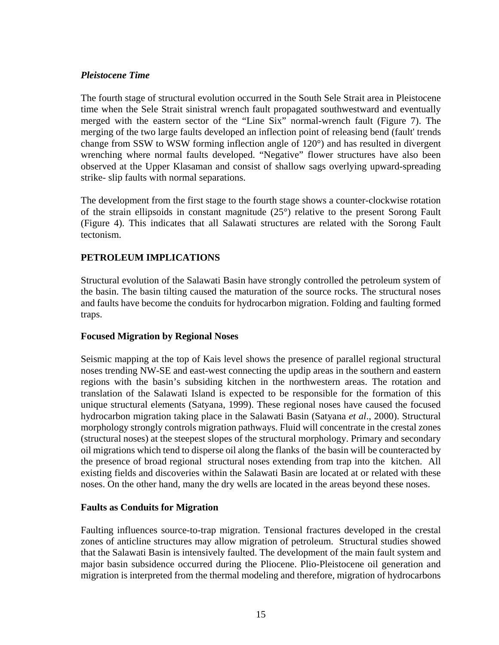#### *Pleistocene Time*

The fourth stage of structural evolution occurred in the South Sele Strait area in Pleistocene time when the Sele Strait sinistral wrench fault propagated southwestward and eventually merged with the eastern sector of the "Line Six" normal-wrench fault (Figure 7). The merging of the two large faults developed an inflection point of releasing bend (fault' trends change from SSW to WSW forming inflection angle of 120°) and has resulted in divergent wrenching where normal faults developed. "Negative" flower structures have also been observed at the Upper Klasaman and consist of shallow sags overlying upward-spreading strike- slip faults with normal separations.

The development from the first stage to the fourth stage shows a counter-clockwise rotation of the strain ellipsoids in constant magnitude (25°) relative to the present Sorong Fault (Figure 4). This indicates that all Salawati structures are related with the Sorong Fault tectonism.

## **PETROLEUM IMPLICATIONS**

Structural evolution of the Salawati Basin have strongly controlled the petroleum system of the basin. The basin tilting caused the maturation of the source rocks. The structural noses and faults have become the conduits for hydrocarbon migration. Folding and faulting formed traps.

#### **Focused Migration by Regional Noses**

Seismic mapping at the top of Kais level shows the presence of parallel regional structural noses trending NW-SE and east-west connecting the updip areas in the southern and eastern regions with the basin's subsiding kitchen in the northwestern areas. The rotation and translation of the Salawati Island is expected to be responsible for the formation of this unique structural elements (Satyana, 1999). These regional noses have caused the focused hydrocarbon migration taking place in the Salawati Basin (Satyana *et al*., 2000). Structural morphology strongly controls migration pathways. Fluid will concentrate in the crestal zones (structural noses) at the steepest slopes of the structural morphology. Primary and secondary oil migrations which tend to disperse oil along the flanks of the basin will be counteracted by the presence of broad regional structural noses extending from trap into the kitchen. All existing fields and discoveries within the Salawati Basin are located at or related with these noses. On the other hand, many the dry wells are located in the areas beyond these noses.

## **Faults as Conduits for Migration**

Faulting influences source-to-trap migration. Tensional fractures developed in the crestal zones of anticline structures may allow migration of petroleum. Structural studies showed that the Salawati Basin is intensively faulted. The development of the main fault system and major basin subsidence occurred during the Pliocene. Plio-Pleistocene oil generation and migration is interpreted from the thermal modeling and therefore, migration of hydrocarbons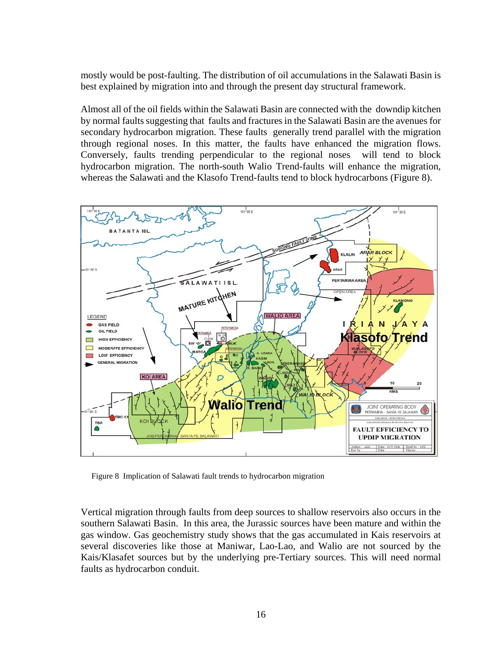mostly would be post-faulting. The distribution of oil accumulations in the Salawati Basin is best explained by migration into and through the present day structural framework.

Almost all of the oil fields within the Salawati Basin are connected with the downdip kitchen by normal faults suggesting that faults and fractures in the Salawati Basin are the avenues for secondary hydrocarbon migration. These faults generally trend parallel with the migration through regional noses. In this matter, the faults have enhanced the migration flows. Conversely, faults trending perpendicular to the regional noses will tend to block hydrocarbon migration. The north-south Walio Trend-faults will enhance the migration, whereas the Salawati and the Klasofo Trend-faults tend to block hydrocarbons (Figure 8).



Figure 8 Implication of Salawati fault trends to hydrocarbon migration

Vertical migration through faults from deep sources to shallow reservoirs also occurs in the southern Salawati Basin. In this area, the Jurassic sources have been mature and within the gas window. Gas geochemistry study shows that the gas accumulated in Kais reservoirs at several discoveries like those at Maniwar, Lao-Lao, and Walio are not sourced by the Kais/Klasafet sources but by the underlying pre-Tertiary sources. This will need normal faults as hydrocarbon conduit.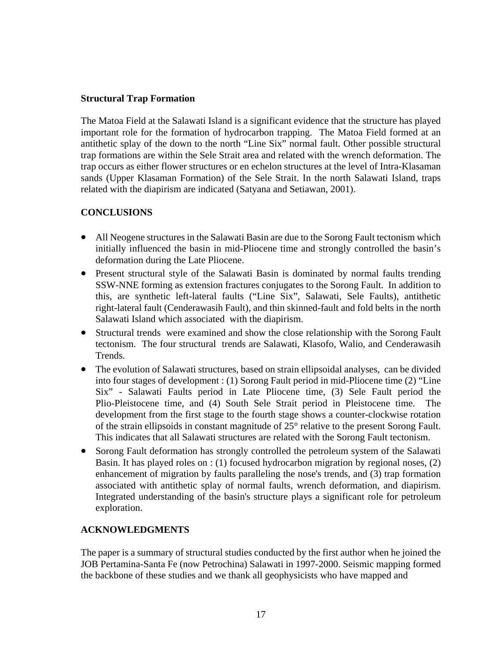## **Structural Trap Formation**

The Matoa Field at the Salawati Island is a significant evidence that the structure has played important role for the formation of hydrocarbon trapping. The Matoa Field formed at an antithetic splay of the down to the north "Line Six" normal fault. Other possible structural trap formations are within the Sele Strait area and related with the wrench deformation. The trap occurs as either flower structures or en echelon structures at the level of Intra-Klasaman sands (Upper Klasaman Formation) of the Sele Strait. In the north Salawati Island, traps related with the diapirism are indicated (Satyana and Setiawan, 2001).

## **CONCLUSIONS**

- All Neogene structures in the Salawati Basin are due to the Sorong Fault tectonism which initially influenced the basin in mid-Pliocene time and strongly controlled the basin's deformation during the Late Pliocene.
- Present structural style of the Salawati Basin is dominated by normal faults trending SSW-NNE forming as extension fractures conjugates to the Sorong Fault. In addition to this, are synthetic left-lateral faults ("Line Six", Salawati, Sele Faults), antithetic right-lateral fault (Cenderawasih Fault), and thin skinned-fault and fold belts in the north Salawati Island which associated with the diapirism.
- Structural trends were examined and show the close relationship with the Sorong Fault tectonism. The four structural trends are Salawati, Klasofo, Walio, and Cenderawasih Trends.
- The evolution of Salawati structures, based on strain ellipsoidal analyses, can be divided into four stages of development : (1) Sorong Fault period in mid-Pliocene time (2) "Line Six" - Salawati Faults period in Late Pliocene time, (3) Sele Fault period the Plio-Pleistocene time, and (4) South Sele Strait period in Pleistocene time. The development from the first stage to the fourth stage shows a counter-clockwise rotation of the strain ellipsoids in constant magnitude of 25° relative to the present Sorong Fault. This indicates that all Salawati structures are related with the Sorong Fault tectonism.
- Sorong Fault deformation has strongly controlled the petroleum system of the Salawati Basin. It has played roles on : (1) focused hydrocarbon migration by regional noses, (2) enhancement of migration by faults paralleling the nose's trends, and (3) trap formation associated with antithetic splay of normal faults, wrench deformation, and diapirism. Integrated understanding of the basin's structure plays a significant role for petroleum exploration.

## **ACKNOWLEDGMENTS**

The paper is a summary of structural studies conducted by the first author when he joined the JOB Pertamina-Santa Fe (now Petrochina) Salawati in 1997-2000. Seismic mapping formed the backbone of these studies and we thank all geophysicists who have mapped and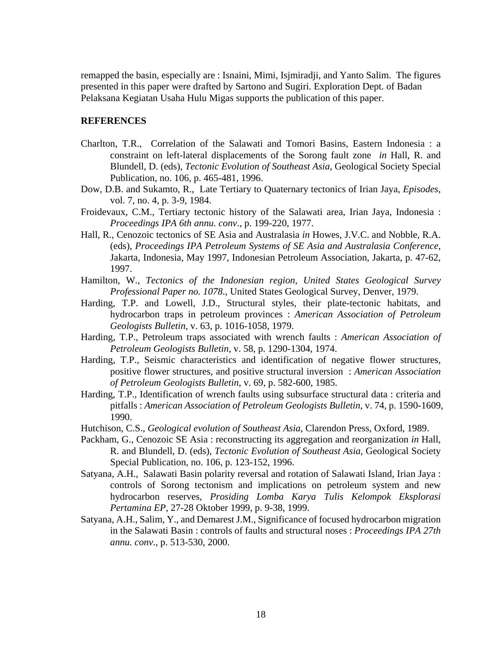remapped the basin, especially are : Isnaini, Mimi, Isjmiradji, and Yanto Salim. The figures presented in this paper were drafted by Sartono and Sugiri. Exploration Dept. of Badan Pelaksana Kegiatan Usaha Hulu Migas supports the publication of this paper.

#### **REFERENCES**

- Charlton, T.R., Correlation of the Salawati and Tomori Basins, Eastern Indonesia : a constraint on left-lateral displacements of the Sorong fault zone *in* Hall, R. and Blundell, D. (eds), *Tectonic Evolution of Southeast Asia*, Geological Society Special Publication, no. 106, p. 465-481, 1996.
- Dow, D.B. and Sukamto, R., Late Tertiary to Quaternary tectonics of Irian Jaya, *Episodes*, vol. 7, no. 4, p. 3-9, 1984.
- Froidevaux, C.M., Tertiary tectonic history of the Salawati area, Irian Jaya, Indonesia : *Proceedings IPA 6th annu. conv*., p. 199-220, 1977.
- Hall, R., Cenozoic tectonics of SE Asia and Australasia *in* Howes, J.V.C. and Nobble, R.A. (eds), *Proceedings IPA Petroleum Systems of SE Asia and Australasia Conference*, Jakarta, Indonesia, May 1997, Indonesian Petroleum Association, Jakarta, p. 47-62, 1997.
- Hamilton, W., *Tectonics of the Indonesian region, United States Geological Survey Professional Paper no. 1078*., United States Geological Survey, Denver, 1979.
- Harding, T.P. and Lowell, J.D., Structural styles, their plate-tectonic habitats, and hydrocarbon traps in petroleum provinces : *American Association of Petroleum Geologists Bulletin*, v. 63, p. 1016-1058, 1979.
- Harding, T.P., Petroleum traps associated with wrench faults : *American Association of Petroleum Geologists Bulletin*, v. 58, p. 1290-1304, 1974.
- Harding, T.P., Seismic characteristics and identification of negative flower structures, positive flower structures, and positive structural inversion : *American Association of Petroleum Geologists Bulletin*, v. 69, p. 582-600, 1985.
- Harding, T.P., Identification of wrench faults using subsurface structural data : criteria and pitfalls : *American Association of Petroleum Geologists Bulletin*, v. 74, p. 1590-1609, 1990.
- Hutchison, C.S., *Geological evolution of Southeast Asia*, Clarendon Press, Oxford, 1989.
- Packham, G., Cenozoic SE Asia : reconstructing its aggregation and reorganization *in* Hall, R. and Blundell, D. (eds), *Tectonic Evolution of Southeast Asia*, Geological Society Special Publication, no. 106, p. 123-152, 1996.
- Satyana, A.H., Salawati Basin polarity reversal and rotation of Salawati Island, Irian Jaya : controls of Sorong tectonism and implications on petroleum system and new hydrocarbon reserves, *Prosiding Lomba Karya Tulis Kelompok Eksplorasi Pertamina EP*, 27-28 Oktober 1999, p. 9-38, 1999.
- Satyana, A.H., Salim, Y., and Demarest J.M., Significance of focused hydrocarbon migration in the Salawati Basin : controls of faults and structural noses : *Proceedings IPA 27th annu. conv*., p. 513-530, 2000.